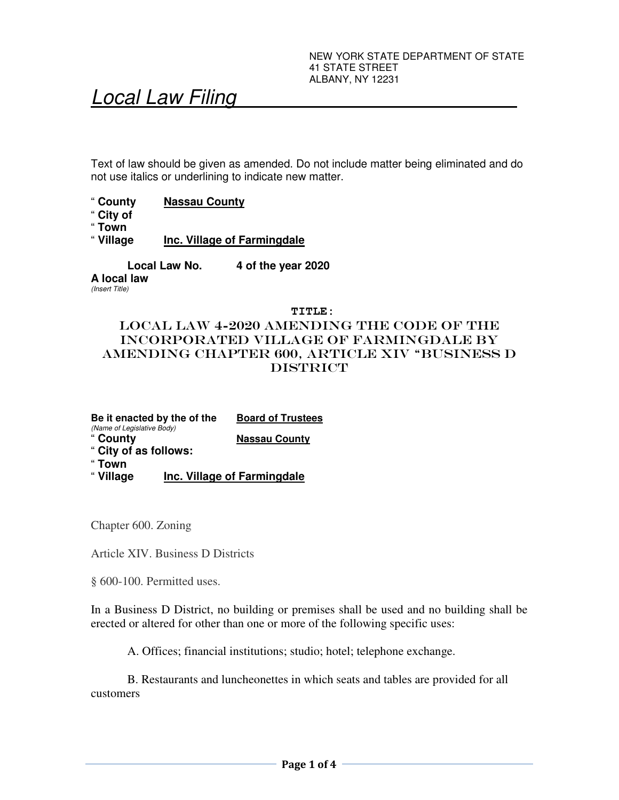# Local Law Filing

Text of law should be given as amended. Do not include matter being eliminated and do not use italics or underlining to indicate new matter.

- " **County Nassau County**
- " **City of**
- 
- " **Town Inc. Village of Farmingdale**

**Local Law No. 4 of the year 2020** 

**A local law**  (Insert Title)

#### **TITLE:**

# LOCAL LAW 4-2020 AMENDING the code of the INCORPORATED village of farmingdale by amending CHAPTER 600, ARTICLE XIV "BUSINESS D **DISTRICT**

**Be it enacted by the of the Board of Trustees**  (Name of Legislative Body) " **County Nassau County**  " **City of as follows:**  " **Town** 

" **Village Inc. Village of Farmingdale** 

Chapter 600. Zoning

Article XIV. Business D Districts

§ 600-100. Permitted uses.

In a Business D District, no building or premises shall be used and no building shall be erected or altered for other than one or more of the following specific uses:

A. Offices; financial institutions; studio; hotel; telephone exchange.

B. Restaurants and luncheonettes in which seats and tables are provided for all customers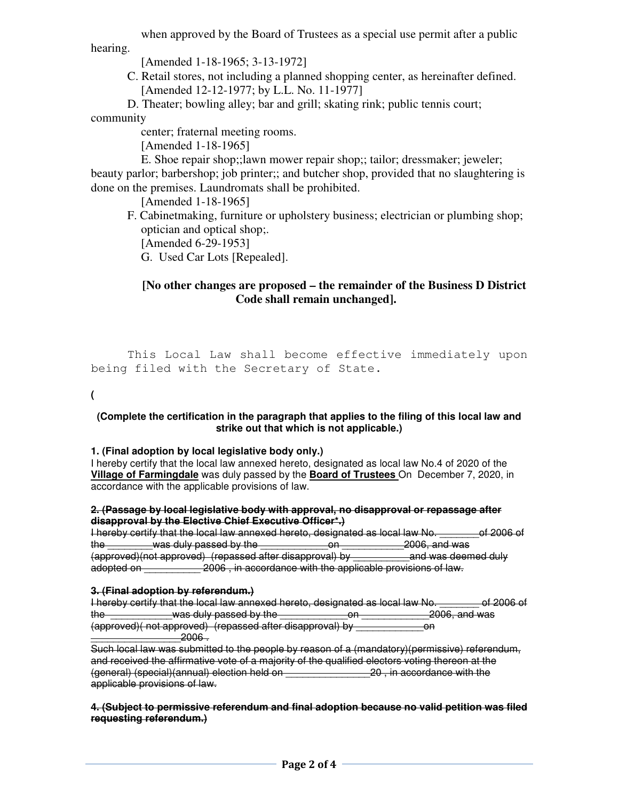when approved by the Board of Trustees as a special use permit after a public

hearing.

[Amended 1-18-1965; 3-13-1972]

C. Retail stores, not including a planned shopping center, as hereinafter defined. [Amended 12-12-1977; by L.L. No. 11-1977]

D. Theater; bowling alley; bar and grill; skating rink; public tennis court;

community

center; fraternal meeting rooms.

[Amended 1-18-1965]

E. Shoe repair shop;;lawn mower repair shop;; tailor; dressmaker; jeweler; beauty parlor; barbershop; job printer;; and butcher shop, provided that no slaughtering is done on the premises. Laundromats shall be prohibited.

[Amended 1-18-1965]

F. Cabinetmaking, furniture or upholstery business; electrician or plumbing shop; optician and optical shop;. [Amended 6-29-1953]

G. Used Car Lots [Repealed].

# **[No other changes are proposed – the remainder of the Business D District Code shall remain unchanged].**

 This Local Law shall become effective immediately upon being filed with the Secretary of State.

**(**

### **(Complete the certification in the paragraph that applies to the filing of this local law and strike out that which is not applicable.)**

# **1. (Final adoption by local legislative body only.)**

I hereby certify that the local law annexed hereto, designated as local law No.4 of 2020 of the **Village of Farmingdale** was duly passed by the **Board of Trustees** On December 7, 2020, in accordance with the applicable provisions of law.

#### **2. (Passage by local legislative body with approval, no disapproval or repassage after disapproval by the Elective Chief Executive Officer\*.)**

I hereby certify that the local law annexed hereto, designated as local law No. \_\_\_\_\_\_\_of 2006 of the \_\_\_\_\_\_\_\_was duly passed by the \_\_\_\_\_\_\_\_\_\_\_\_on \_\_\_\_\_\_\_\_\_\_\_2006, and was (approved)(not approved) (repassed after disapproval) by \_\_\_\_\_\_\_\_\_\_and was deemed duly adopted on **2006**, in accordance with the applicable provisions of law.

## **3. (Final adoption by referendum.)**

|                                                           |                        | I hereby certify that the local law annexed hereto, designated as local law No. |               | of 2006 of |
|-----------------------------------------------------------|------------------------|---------------------------------------------------------------------------------|---------------|------------|
| the                                                       | was duly passed by the | Λn                                                                              | 2006, and was |            |
| (approved) (not approved) (repassed after disapproval) by |                        |                                                                                 | nn<br>ள       |            |
|                                                           | วกกล                   |                                                                                 |               |            |

Such local law was submitted to the people by reason of a (mandatory)(permissive) referendum, and received the affirmative vote of a majority of the qualified electors voting thereon at the (general) (special)(annual) election held on \_\_\_\_\_\_\_\_\_\_\_\_\_\_\_20 , in accordance with the applicable provisions of law.

### **4. (Subject to permissive referendum and final adoption because no valid petition was filed requesting referendum.)**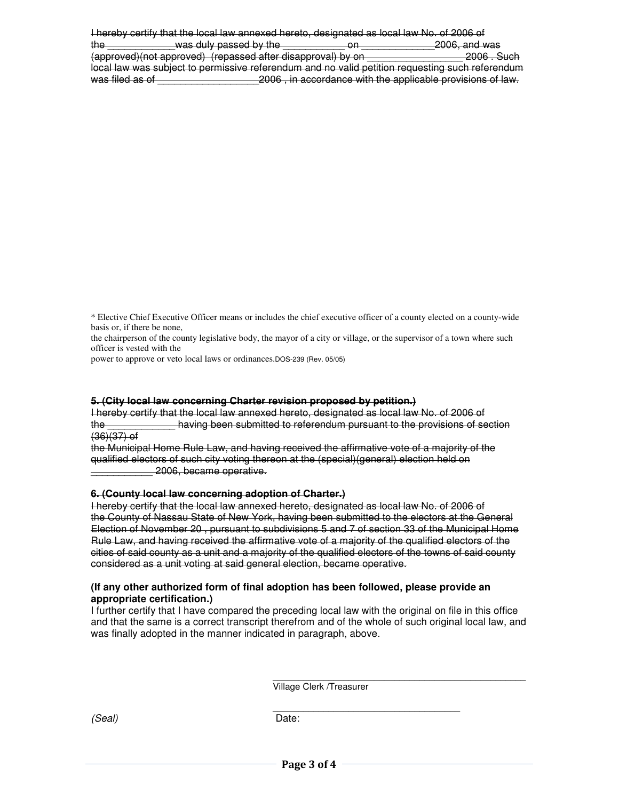I hereby certify that the local law annexed hereto, designated as local law No. of 2006 of the \_\_\_\_\_\_\_\_\_\_\_\_was duly passed by the \_\_\_\_\_\_\_\_\_\_\_ on \_\_\_\_\_\_\_\_\_\_\_\_\_2006, and was (approved)(not approved) (repassed after disapproval) by on \_\_\_\_\_\_\_\_\_\_\_\_\_\_\_\_\_ 2006 . Such local law was subject to permissive referendum and no valid petition requesting such referendum was filed as of \_\_\_\_\_\_\_\_\_\_\_\_\_\_\_\_\_\_2006 , in accordance with the applicable provisions of law.

\* Elective Chief Executive Officer means or includes the chief executive officer of a county elected on a county-wide basis or, if there be none,

the chairperson of the county legislative body, the mayor of a city or village, or the supervisor of a town where such officer is vested with the

power to approve or veto local laws or ordinances.DOS-239 (Rev. 05/05)

#### **5. (City local law concerning Charter revision proposed by petition.)**

I hereby certify that the local law annexed hereto, designated as local law No. of 2006 of the \_\_\_\_\_\_\_\_\_\_\_\_ having been submitted to referendum pursuant to the provisions of section  $(36)(37)$  of

the Municipal Home Rule Law, and having received the affirmative vote of a majority of the qualified electors of such city voting thereon at the (special)(general) election held on \_\_\_\_\_\_\_\_\_\_\_ 2006, became operative.

#### **6. (County local law concerning adoption of Charter.)**

I hereby certify that the local law annexed hereto, designated as local law No. of 2006 of the County of Nassau State of New York, having been submitted to the electors at the General Election of November 20 , pursuant to subdivisions 5 and 7 of section 33 of the Municipal Home Rule Law, and having received the affirmative vote of a majority of the qualified electors of the cities of said county as a unit and a majority of the qualified electors of the towns of said county considered as a unit voting at said general election, became operative.

#### **(If any other authorized form of final adoption has been followed, please provide an appropriate certification.)**

I further certify that I have compared the preceding local law with the original on file in this office and that the same is a correct transcript therefrom and of the whole of such original local law, and was finally adopted in the manner indicated in paragraph, above.

> \_\_\_\_\_\_\_\_\_\_\_\_\_\_\_\_\_\_\_\_\_\_\_\_\_\_\_\_\_\_\_\_\_\_\_\_\_\_\_\_\_\_\_\_\_\_\_\_\_\_ Village Clerk /Treasurer

\_\_\_\_\_\_\_\_\_\_\_\_\_\_\_\_\_\_\_\_\_\_\_\_\_\_\_\_\_\_\_\_\_\_\_\_\_

(Seal) Date: